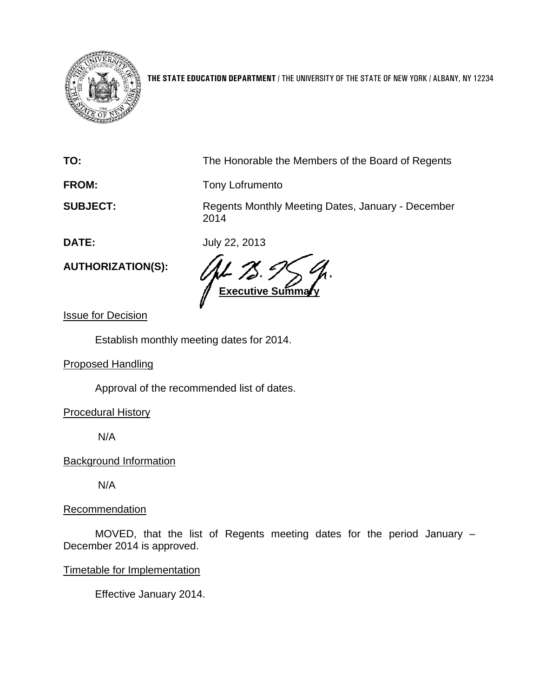

**THE STATE EDUCATION DEPARTMENT** / THE UNIVERSITY OF THE STATE OF NEW YORK / ALBANY, NY 12234

| TO: | The Honorable the Members of the Board of Regents |
|-----|---------------------------------------------------|
|     |                                                   |

FROM: Tony Lofrumento

**SUBJECT:** Regents Monthly Meeting Dates, January - December 2014

**DATE:** July 22, 2013

**AUTHORIZATION(S):**

**Executive Summary** 

Issue for Decision

Establish monthly meeting dates for 2014.

Proposed Handling

Approval of the recommended list of dates.

Procedural History

N/A

Background Information

N/A

## **Recommendation**

MOVED, that the list of Regents meeting dates for the period January – December 2014 is approved.

## Timetable for Implementation

Effective January 2014.